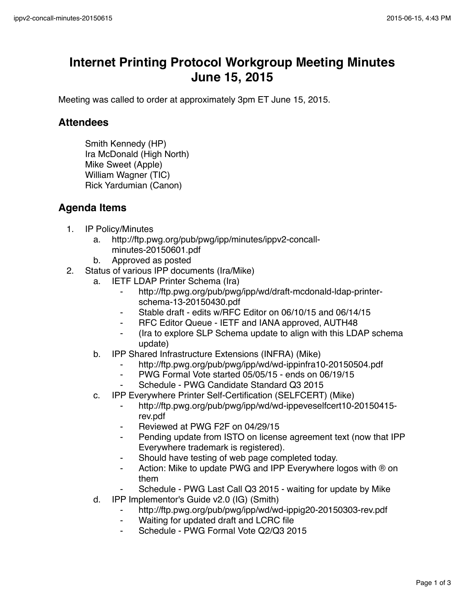## **Internet Printing Protocol Workgroup Meeting Minutes June 15, 2015**

Meeting was called to order at approximately 3pm ET June 15, 2015.

## **Attendees**

Smith Kennedy (HP) Ira McDonald (High North) Mike Sweet (Apple) William Wagner (TIC) Rick Yardumian (Canon)

## **Agenda Items**

- 1. IP Policy/Minutes
	- a. http://ftp.pwg.org/pub/pwg/ipp/minutes/ippv2-concallminutes-20150601.pdf
	- b. Approved as posted
- 2. Status of various IPP documents (Ira/Mike)
	- a. IETF LDAP Printer Schema (Ira)
		- ⁃ http://ftp.pwg.org/pub/pwg/ipp/wd/draft-mcdonald-ldap-printerschema-13-20150430.pdf
		- Stable draft edits w/RFC Editor on 06/10/15 and 06/14/15
		- ⁃ RFC Editor Queue IETF and IANA approved, AUTH48
		- ⁃ (Ira to explore SLP Schema update to align with this LDAP schema update)
	- b. IPP Shared Infrastructure Extensions (INFRA) (Mike)
		- ⁃ http://ftp.pwg.org/pub/pwg/ipp/wd/wd-ippinfra10-20150504.pdf
		- ⁃ PWG Formal Vote started 05/05/15 ends on 06/19/15
		- Schedule PWG Candidate Standard Q3 2015
	- c. IPP Everywhere Printer Self-Certification (SELFCERT) (Mike)
		- ⁃ http://ftp.pwg.org/pub/pwg/ipp/wd/wd-ippeveselfcert10-20150415 rev.pdf
		- Reviewed at PWG F2F on 04/29/15
		- Pending update from ISTO on license agreement text (now that IPP Everywhere trademark is registered).
		- ⁃ Should have testing of web page completed today.
		- ⁃ Action: Mike to update PWG and IPP Everywhere logos with ® on them
			- Schedule PWG Last Call Q3 2015 waiting for update by Mike
	- d. IPP Implementor's Guide v2.0 (IG) (Smith)
		- ⁃ http://ftp.pwg.org/pub/pwg/ipp/wd/wd-ippig20-20150303-rev.pdf
		- Waiting for updated draft and LCRC file
		- Schedule PWG Formal Vote Q2/Q3 2015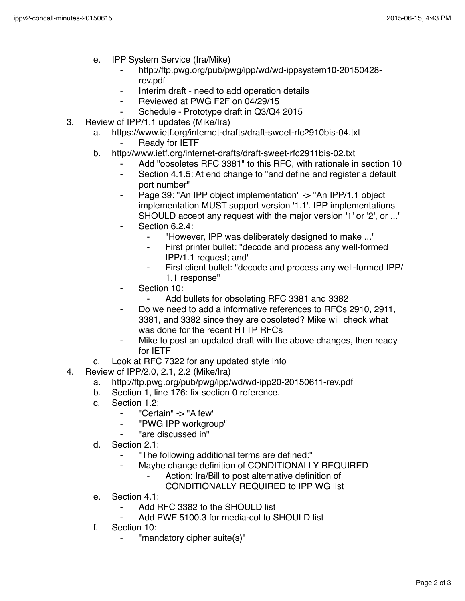- e. IPP System Service (Ira/Mike)
	- ⁃ http://ftp.pwg.org/pub/pwg/ipp/wd/wd-ippsystem10-20150428 rev.pdf
	- Interim draft need to add operation details
	- ⁃ Reviewed at PWG F2F on 04/29/15
	- Schedule Prototype draft in Q3/Q4 2015
- 3. Review of IPP/1.1 updates (Mike/Ira)
	- a. https://www.ietf.org/internet-drafts/draft-sweet-rfc2910bis-04.txt
		- **Ready for IETF**
	- b. http://www.ietf.org/internet-drafts/draft-sweet-rfc2911bis-02.txt
		- Add "obsoletes RFC 3381" to this RFC, with rationale in section 10
		- ⁃ Section 4.1.5: At end change to "and define and register a default port number"
		- Page 39: "An IPP object implementation" -> "An IPP/1.1 object implementation MUST support version '1.1'. IPP implementations SHOULD accept any request with the major version '1' or '2', or ..."
		- Section 6.2.4:
			- ⁃ "However, IPP was deliberately designed to make ..."
			- First printer bullet: "decode and process any well-formed IPP/1.1 request; and"
			- ⁃ First client bullet: "decode and process any well-formed IPP/ 1.1 response"
		- Section 10:
			- ⁃ Add bullets for obsoleting RFC 3381 and 3382
		- Do we need to add a informative references to RFCs 2910, 2911, 3381, and 3382 since they are obsoleted? Mike will check what was done for the recent HTTP RFCs
		- Mike to post an updated draft with the above changes, then ready for IETF
	- c. Look at RFC 7322 for any updated style info
- 4. Review of IPP/2.0, 2.1, 2.2 (Mike/Ira)
	- a. http://ftp.pwg.org/pub/pwg/ipp/wd/wd-ipp20-20150611-rev.pdf
	- b. Section 1, line 176: fix section 0 reference.
	- c. Section  $1.2$ 
		- ⁃ "Certain" -> "A few"
		- ⁃ "PWG IPP workgroup"
		- ⁃ "are discussed in"
	- d. Section 2.1:
		- ⁃ "The following additional terms are defined:"
		- Maybe change definition of CONDITIONALLY REQUIRED
			- Action: Ira/Bill to post alternative definition of
			- CONDITIONALLY REQUIRED to IPP WG list
	- e. Section 4.1:
		- ⁃ Add RFC 3382 to the SHOULD list
		- Add PWF 5100.3 for media-col to SHOULD list
	- f. Section 10:
		- "mandatory cipher suite(s)"